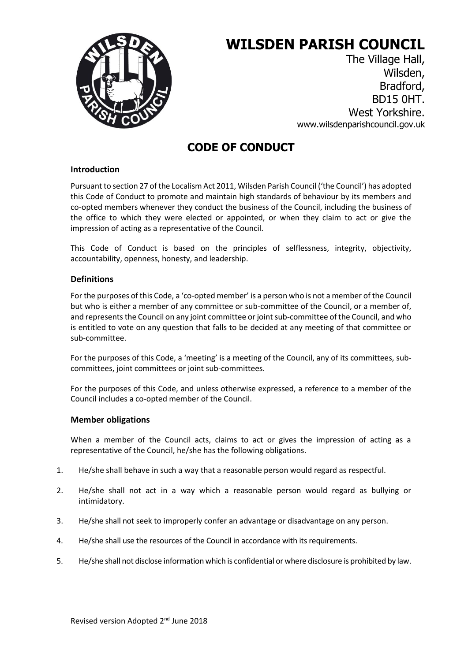

# **WILSDEN PARISH COUNCIL**

The Village Hall, Wilsden, Bradford, BD15 0HT. West Yorkshire. www.wilsdenparishcouncil.gov.uk

# **CODE OF CONDUCT**

## **Introduction**

Pursuant to section 27 of the Localism Act 2011, Wilsden Parish Council ('the Council') has adopted this Code of Conduct to promote and maintain high standards of behaviour by its members and co-opted members whenever they conduct the business of the Council, including the business of the office to which they were elected or appointed, or when they claim to act or give the impression of acting as a representative of the Council.

This Code of Conduct is based on the principles of selflessness, integrity, objectivity, accountability, openness, honesty, and leadership.

## **Definitions**

For the purposes of this Code, a 'co-opted member' is a person who is not a member of the Council but who is either a member of any committee or sub-committee of the Council, or a member of, and represents the Council on any joint committee or joint sub-committee of the Council, and who is entitled to vote on any question that falls to be decided at any meeting of that committee or sub-committee.

For the purposes of this Code, a 'meeting' is a meeting of the Council, any of its committees, subcommittees, joint committees or joint sub-committees.

For the purposes of this Code, and unless otherwise expressed, a reference to a member of the Council includes a co-opted member of the Council.

## **Member obligations**

When a member of the Council acts, claims to act or gives the impression of acting as a representative of the Council, he/she has the following obligations.

- 1. He/she shall behave in such a way that a reasonable person would regard as respectful.
- 2. He/she shall not act in a way which a reasonable person would regard as bullying or intimidatory.
- 3. He/she shall not seek to improperly confer an advantage or disadvantage on any person.
- 4. He/she shall use the resources of the Council in accordance with its requirements.
- 5. He/she shall not disclose information which is confidential or where disclosure is prohibited by law.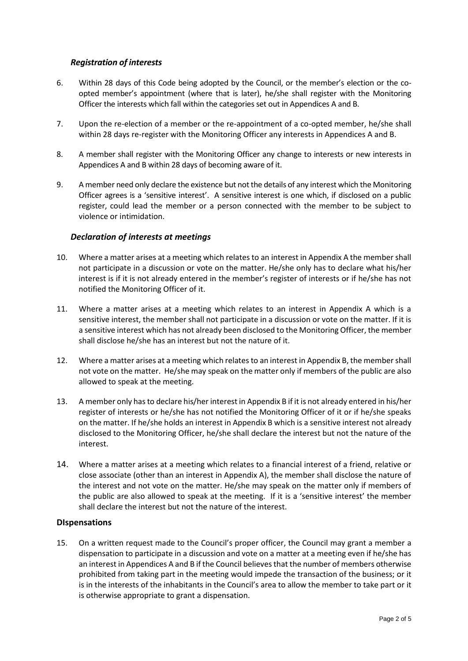#### *Registration of interests*

- 6. Within 28 days of this Code being adopted by the Council, or the member's election or the coopted member's appointment (where that is later), he/she shall register with the Monitoring Officer the interests which fall within the categories set out in Appendices A and B.
- 7. Upon the re-election of a member or the re-appointment of a co-opted member, he/she shall within 28 days re-register with the Monitoring Officer any interests in Appendices A and B.
- 8. A member shall register with the Monitoring Officer any change to interests or new interests in Appendices A and B within 28 days of becoming aware of it.
- 9. A member need only declare the existence but not the details of any interest which the Monitoring Officer agrees is a 'sensitive interest'. A sensitive interest is one which, if disclosed on a public register, could lead the member or a person connected with the member to be subject to violence or intimidation.

#### *Declaration of interests at meetings*

- 10. Where a matter arises at a meeting which relates to an interest in Appendix A the member shall not participate in a discussion or vote on the matter. He/she only has to declare what his/her interest is if it is not already entered in the member's register of interests or if he/she has not notified the Monitoring Officer of it.
- 11. Where a matter arises at a meeting which relates to an interest in Appendix A which is a sensitive interest, the member shall not participate in a discussion or vote on the matter. If it is a sensitive interest which has not already been disclosed to the Monitoring Officer, the member shall disclose he/she has an interest but not the nature of it.
- 12. Where a matter arises at a meeting which relates to an interest in Appendix B, the member shall not vote on the matter. He/she may speak on the matter only if members of the public are also allowed to speak at the meeting.
- 13. A member only has to declare his/her interest in Appendix B if it is not already entered in his/her register of interests or he/she has not notified the Monitoring Officer of it or if he/she speaks on the matter. If he/she holds an interest in Appendix B which is a sensitive interest not already disclosed to the Monitoring Officer, he/she shall declare the interest but not the nature of the interest.
- 14. Where a matter arises at a meeting which relates to a financial interest of a friend, relative or close associate (other than an interest in Appendix A), the member shall disclose the nature of the interest and not vote on the matter. He/she may speak on the matter only if members of the public are also allowed to speak at the meeting. If it is a 'sensitive interest' the member shall declare the interest but not the nature of the interest.

#### **DIspensations**

15. On a written request made to the Council's proper officer, the Council may grant a member a dispensation to participate in a discussion and vote on a matter at a meeting even if he/she has an interest in Appendices A and B if the Council believes that the number of members otherwise prohibited from taking part in the meeting would impede the transaction of the business; or it is in the interests of the inhabitants in the Council's area to allow the member to take part or it is otherwise appropriate to grant a dispensation.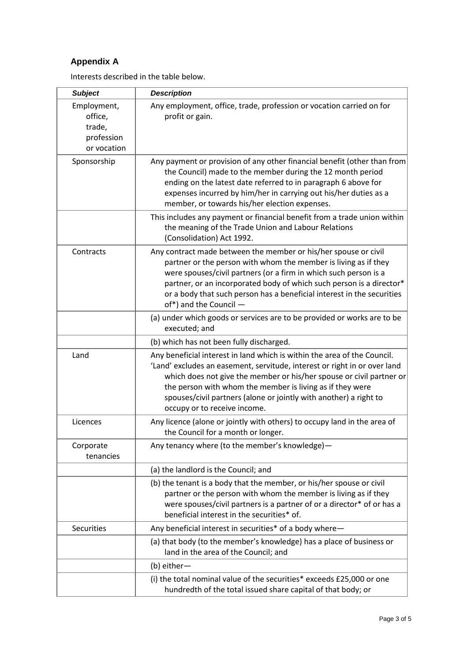# **Appendix A**

Interests described in the table below.

| <b>Subject</b>                                                | <b>Description</b>                                                                                                                                                                                                                                                                                                                                                                              |
|---------------------------------------------------------------|-------------------------------------------------------------------------------------------------------------------------------------------------------------------------------------------------------------------------------------------------------------------------------------------------------------------------------------------------------------------------------------------------|
| Employment,<br>office,<br>trade,<br>profession<br>or vocation | Any employment, office, trade, profession or vocation carried on for<br>profit or gain.                                                                                                                                                                                                                                                                                                         |
| Sponsorship                                                   | Any payment or provision of any other financial benefit (other than from<br>the Council) made to the member during the 12 month period<br>ending on the latest date referred to in paragraph 6 above for<br>expenses incurred by him/her in carrying out his/her duties as a<br>member, or towards his/her election expenses.                                                                   |
|                                                               | This includes any payment or financial benefit from a trade union within<br>the meaning of the Trade Union and Labour Relations<br>(Consolidation) Act 1992.                                                                                                                                                                                                                                    |
| Contracts                                                     | Any contract made between the member or his/her spouse or civil<br>partner or the person with whom the member is living as if they<br>were spouses/civil partners (or a firm in which such person is a<br>partner, or an incorporated body of which such person is a director*<br>or a body that such person has a beneficial interest in the securities<br>of*) and the Council -              |
|                                                               | (a) under which goods or services are to be provided or works are to be<br>executed; and                                                                                                                                                                                                                                                                                                        |
|                                                               | (b) which has not been fully discharged.                                                                                                                                                                                                                                                                                                                                                        |
| Land                                                          | Any beneficial interest in land which is within the area of the Council.<br>'Land' excludes an easement, servitude, interest or right in or over land<br>which does not give the member or his/her spouse or civil partner or<br>the person with whom the member is living as if they were<br>spouses/civil partners (alone or jointly with another) a right to<br>occupy or to receive income. |
| Licences                                                      | Any licence (alone or jointly with others) to occupy land in the area of<br>the Council for a month or longer.                                                                                                                                                                                                                                                                                  |
| Corporate<br>tenancies                                        | Any tenancy where (to the member's knowledge)-                                                                                                                                                                                                                                                                                                                                                  |
|                                                               | (a) the landlord is the Council; and                                                                                                                                                                                                                                                                                                                                                            |
|                                                               | (b) the tenant is a body that the member, or his/her spouse or civil<br>partner or the person with whom the member is living as if they<br>were spouses/civil partners is a partner of or a director* of or has a<br>beneficial interest in the securities* of.                                                                                                                                 |
| <b>Securities</b>                                             | Any beneficial interest in securities* of a body where-                                                                                                                                                                                                                                                                                                                                         |
|                                                               | (a) that body (to the member's knowledge) has a place of business or<br>land in the area of the Council; and                                                                                                                                                                                                                                                                                    |
|                                                               | (b) either-                                                                                                                                                                                                                                                                                                                                                                                     |
|                                                               | (i) the total nominal value of the securities* exceeds £25,000 or one<br>hundredth of the total issued share capital of that body; or                                                                                                                                                                                                                                                           |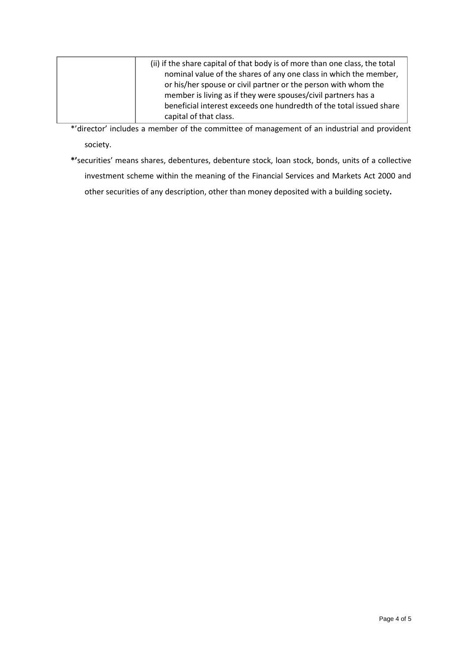| (ii) if the share capital of that body is of more than one class, the total |
|-----------------------------------------------------------------------------|
| nominal value of the shares of any one class in which the member,           |
| or his/her spouse or civil partner or the person with whom the              |
| member is living as if they were spouses/civil partners has a               |
| beneficial interest exceeds one hundredth of the total issued share         |
| capital of that class.                                                      |

\*'director' includes a member of the committee of management of an industrial and provident society.

**\*'**securities' means shares, debentures, debenture stock, loan stock, bonds, units of a collective investment scheme within the meaning of the Financial Services and Markets Act 2000 and other securities of any description, other than money deposited with a building society**.**